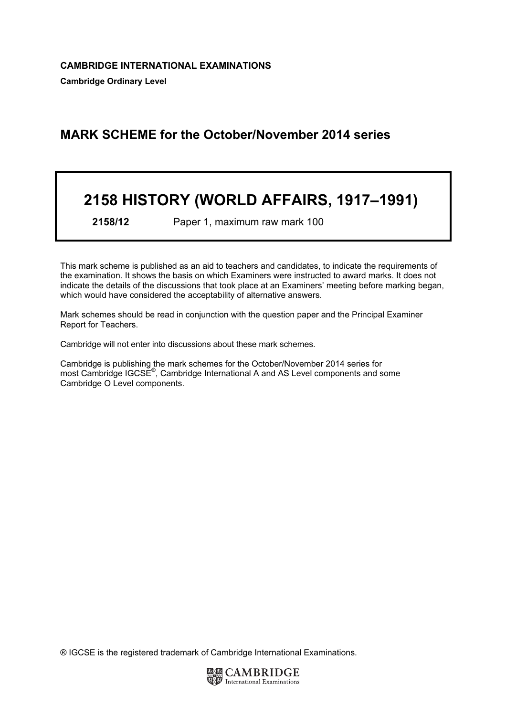# MARK SCHEME for the October/November 2014 series

# 2158 HISTORY (WORLD AFFAIRS, 1917–1991)

2158/12 Paper 1, maximum raw mark 100

This mark scheme is published as an aid to teachers and candidates, to indicate the requirements of the examination. It shows the basis on which Examiners were instructed to award marks. It does not indicate the details of the discussions that took place at an Examiners' meeting before marking began, which would have considered the acceptability of alternative answers.

Mark schemes should be read in conjunction with the question paper and the Principal Examiner Report for Teachers.

Cambridge will not enter into discussions about these mark schemes.

Cambridge is publishing the mark schemes for the October/November 2014 series for most Cambridge IGCSE<sup>®</sup>, Cambridge International A and AS Level components and some Cambridge O Level components.

® IGCSE is the registered trademark of Cambridge International Examinations.

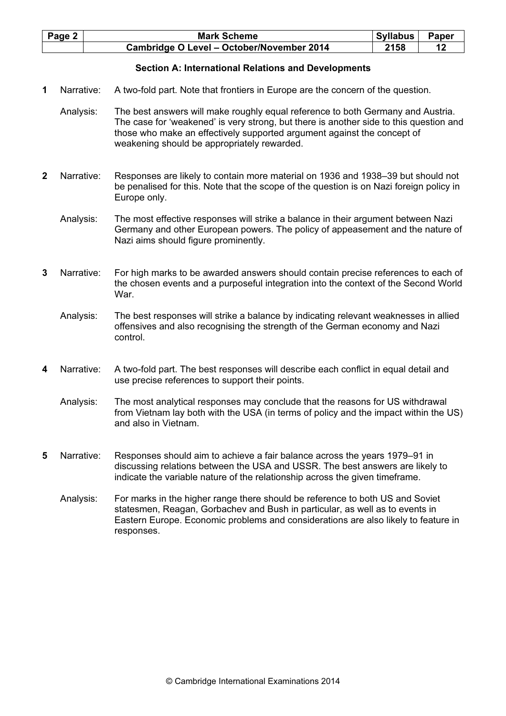| Page 2 | <b>Mark Scheme</b>                        | Syllabus | <b>Paper</b> |
|--------|-------------------------------------------|----------|--------------|
|        | Cambridge O Level - October/November 2014 | 2158     |              |

### Section A: International Relations and Developments

- 1 Narrative: A two-fold part. Note that frontiers in Europe are the concern of the question.
	- Analysis: The best answers will make roughly equal reference to both Germany and Austria. The case for 'weakened' is very strong, but there is another side to this question and those who make an effectively supported argument against the concept of weakening should be appropriately rewarded.
- 2 Narrative: Responses are likely to contain more material on 1936 and 1938–39 but should not be penalised for this. Note that the scope of the question is on Nazi foreign policy in Europe only.
	- Analysis: The most effective responses will strike a balance in their argument between Nazi Germany and other European powers. The policy of appeasement and the nature of Nazi aims should figure prominently.
- 3 Narrative: For high marks to be awarded answers should contain precise references to each of the chosen events and a purposeful integration into the context of the Second World War.
	- Analysis: The best responses will strike a balance by indicating relevant weaknesses in allied offensives and also recognising the strength of the German economy and Nazi control.
- 4 Narrative: A two-fold part. The best responses will describe each conflict in equal detail and use precise references to support their points.
	- Analysis: The most analytical responses may conclude that the reasons for US withdrawal from Vietnam lay both with the USA (in terms of policy and the impact within the US) and also in Vietnam.
- 5 Narrative: Responses should aim to achieve a fair balance across the years 1979–91 in discussing relations between the USA and USSR. The best answers are likely to indicate the variable nature of the relationship across the given timeframe.
	- Analysis: For marks in the higher range there should be reference to both US and Soviet statesmen, Reagan, Gorbachev and Bush in particular, as well as to events in Eastern Europe. Economic problems and considerations are also likely to feature in responses.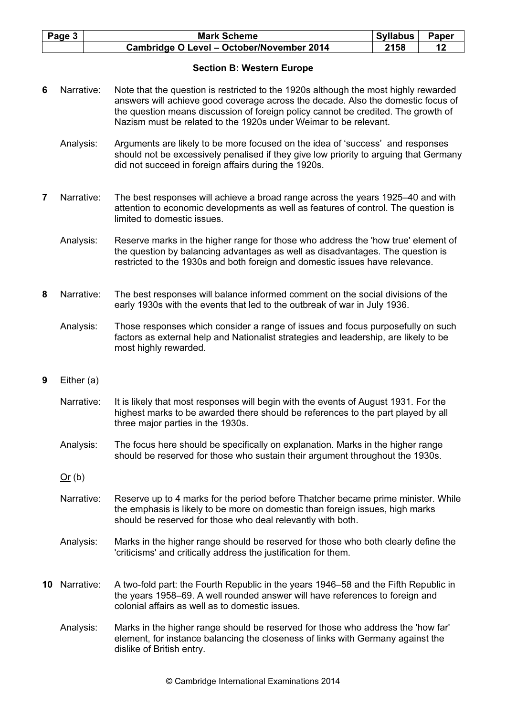| Page 3 | <b>Mark Scheme</b>                        | <b>Syllabus</b> | <b>Paper</b> |
|--------|-------------------------------------------|-----------------|--------------|
|        | Cambridge O Level - October/November 2014 | 2158            |              |

## Section B: Western Europe

- 6 Narrative: Note that the question is restricted to the 1920s although the most highly rewarded answers will achieve good coverage across the decade. Also the domestic focus of the question means discussion of foreign policy cannot be credited. The growth of Nazism must be related to the 1920s under Weimar to be relevant.
	- Analysis: Arguments are likely to be more focused on the idea of 'success' and responses should not be excessively penalised if they give low priority to arguing that Germany did not succeed in foreign affairs during the 1920s.
- 7 Narrative: The best responses will achieve a broad range across the years 1925–40 and with attention to economic developments as well as features of control. The question is limited to domestic issues.
	- Analysis: Reserve marks in the higher range for those who address the 'how true' element of the question by balancing advantages as well as disadvantages. The question is restricted to the 1930s and both foreign and domestic issues have relevance.
- 8 Narrative: The best responses will balance informed comment on the social divisions of the early 1930s with the events that led to the outbreak of war in July 1936.
	- Analysis: Those responses which consider a range of issues and focus purposefully on such factors as external help and Nationalist strategies and leadership, are likely to be most highly rewarded.
- 9 Either (a)
	- Narrative: It is likely that most responses will begin with the events of August 1931. For the highest marks to be awarded there should be references to the part played by all three major parties in the 1930s.
	- Analysis: The focus here should be specifically on explanation. Marks in the higher range should be reserved for those who sustain their argument throughout the 1930s.
	- Or (b)
	- Narrative: Reserve up to 4 marks for the period before Thatcher became prime minister. While the emphasis is likely to be more on domestic than foreign issues, high marks should be reserved for those who deal relevantly with both.
	- Analysis: Marks in the higher range should be reserved for those who both clearly define the 'criticisms' and critically address the justification for them.
- 10 Narrative: A two-fold part: the Fourth Republic in the years 1946–58 and the Fifth Republic in the years 1958–69. A well rounded answer will have references to foreign and colonial affairs as well as to domestic issues.
	- Analysis: Marks in the higher range should be reserved for those who address the 'how far' element, for instance balancing the closeness of links with Germany against the dislike of British entry.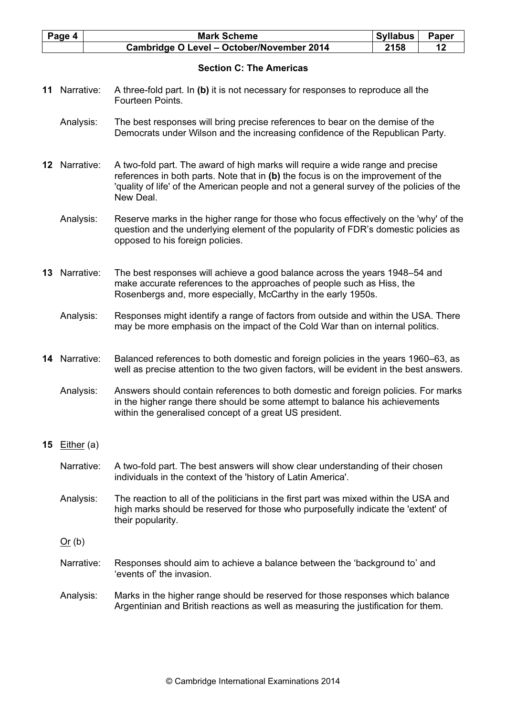| Page 4 | <b>Mark Scheme</b>                               | <b>Syllabus</b> | Paper |
|--------|--------------------------------------------------|-----------------|-------|
|        | <b>Cambridge O Level - October/November 2014</b> | 2158            |       |

# Section C: The Americas

- 11 Narrative: A three-fold part. In (b) it is not necessary for responses to reproduce all the Fourteen Points.
	- Analysis: The best responses will bring precise references to bear on the demise of the Democrats under Wilson and the increasing confidence of the Republican Party.
- 12 Narrative: A two-fold part. The award of high marks will require a wide range and precise references in both parts. Note that in  $(b)$  the focus is on the improvement of the 'quality of life' of the American people and not a general survey of the policies of the New Deal.
	- Analysis: Reserve marks in the higher range for those who focus effectively on the 'why' of the question and the underlying element of the popularity of FDR's domestic policies as opposed to his foreign policies.
- 13 Narrative: The best responses will achieve a good balance across the years 1948–54 and make accurate references to the approaches of people such as Hiss, the Rosenbergs and, more especially, McCarthy in the early 1950s.
	- Analysis: Responses might identify a range of factors from outside and within the USA. There may be more emphasis on the impact of the Cold War than on internal politics.
- 14 Narrative: Balanced references to both domestic and foreign policies in the years 1960–63, as well as precise attention to the two given factors, will be evident in the best answers.

 Analysis: Answers should contain references to both domestic and foreign policies. For marks in the higher range there should be some attempt to balance his achievements within the generalised concept of a great US president.

# 15 Either (a)

- Narrative: A two-fold part. The best answers will show clear understanding of their chosen individuals in the context of the 'history of Latin America'.
- Analysis: The reaction to all of the politicians in the first part was mixed within the USA and high marks should be reserved for those who purposefully indicate the 'extent' of their popularity.
- $Or (b)$
- Narrative: Responses should aim to achieve a balance between the 'background to' and 'events of' the invasion.
- Analysis: Marks in the higher range should be reserved for those responses which balance Argentinian and British reactions as well as measuring the justification for them.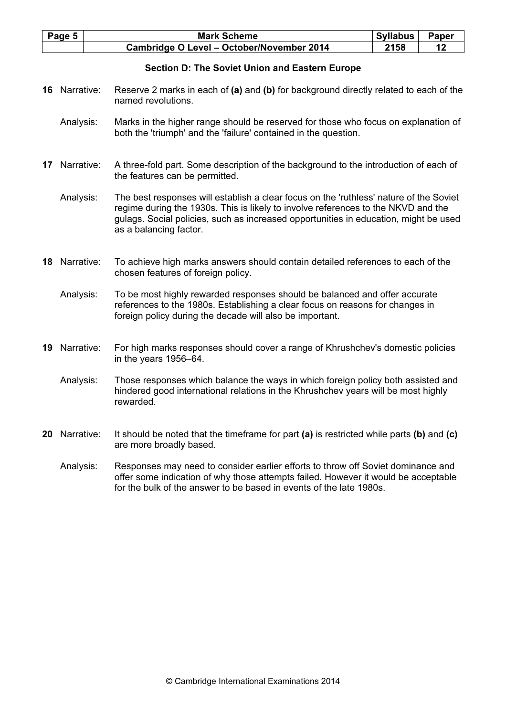| Page 5 | <b>Mark Scheme</b>                        | <b>Syllabus</b> | Paper |
|--------|-------------------------------------------|-----------------|-------|
|        | Cambridge O Level - October/November 2014 | 2158            |       |

## Section D: The Soviet Union and Eastern Europe

- 16 Narrative: Reserve 2 marks in each of (a) and (b) for background directly related to each of the named revolutions.
	- Analysis: Marks in the higher range should be reserved for those who focus on explanation of both the 'triumph' and the 'failure' contained in the question.
- 17 Narrative: A three-fold part. Some description of the background to the introduction of each of the features can be permitted.
	- Analysis: The best responses will establish a clear focus on the 'ruthless' nature of the Soviet regime during the 1930s. This is likely to involve references to the NKVD and the gulags. Social policies, such as increased opportunities in education, might be used as a balancing factor.
- 18 Narrative: To achieve high marks answers should contain detailed references to each of the chosen features of foreign policy.
	- Analysis: To be most highly rewarded responses should be balanced and offer accurate references to the 1980s. Establishing a clear focus on reasons for changes in foreign policy during the decade will also be important.
- 19 Narrative: For high marks responses should cover a range of Khrushchev's domestic policies in the years 1956–64.
	- Analysis: Those responses which balance the ways in which foreign policy both assisted and hindered good international relations in the Khrushchev years will be most highly rewarded.
- 20 Narrative: It should be noted that the timeframe for part (a) is restricted while parts (b) and (c) are more broadly based.
	- Analysis: Responses may need to consider earlier efforts to throw off Soviet dominance and offer some indication of why those attempts failed. However it would be acceptable for the bulk of the answer to be based in events of the late 1980s.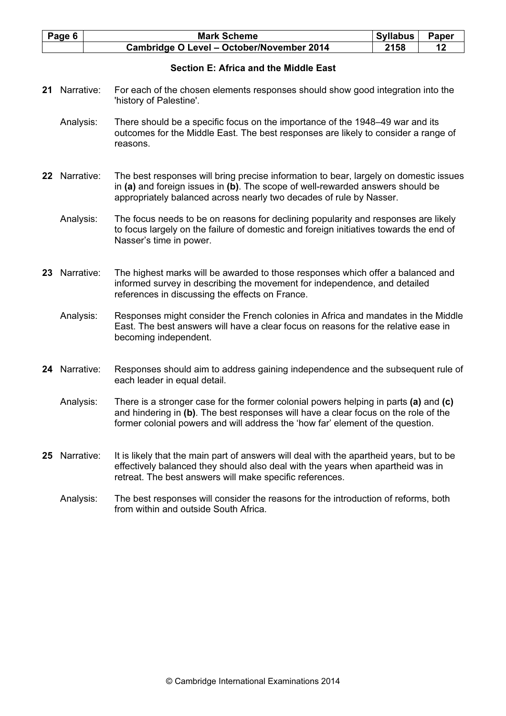| Page 6 | <b>Mark Scheme</b>                               | <b>Syllabus</b> | Paper |
|--------|--------------------------------------------------|-----------------|-------|
|        | <b>Cambridge O Level - October/November 2014</b> | 2158            |       |

# Section E: Africa and the Middle East

- 21 Narrative: For each of the chosen elements responses should show good integration into the 'history of Palestine'.
	- Analysis: There should be a specific focus on the importance of the 1948–49 war and its outcomes for the Middle East. The best responses are likely to consider a range of reasons.
- 22 Narrative: The best responses will bring precise information to bear, largely on domestic issues in (a) and foreign issues in (b). The scope of well-rewarded answers should be appropriately balanced across nearly two decades of rule by Nasser.
	- Analysis: The focus needs to be on reasons for declining popularity and responses are likely to focus largely on the failure of domestic and foreign initiatives towards the end of Nasser's time in power.
- 23 Narrative: The highest marks will be awarded to those responses which offer a balanced and informed survey in describing the movement for independence, and detailed references in discussing the effects on France.
	- Analysis: Responses might consider the French colonies in Africa and mandates in the Middle East. The best answers will have a clear focus on reasons for the relative ease in becoming independent.
- 24 Narrative: Responses should aim to address gaining independence and the subsequent rule of each leader in equal detail.
	- Analysis: There is a stronger case for the former colonial powers helping in parts (a) and (c) and hindering in (b). The best responses will have a clear focus on the role of the former colonial powers and will address the 'how far' element of the question.
- 25 Narrative: It is likely that the main part of answers will deal with the apartheid years, but to be effectively balanced they should also deal with the years when apartheid was in retreat. The best answers will make specific references.
	- Analysis: The best responses will consider the reasons for the introduction of reforms, both from within and outside South Africa.